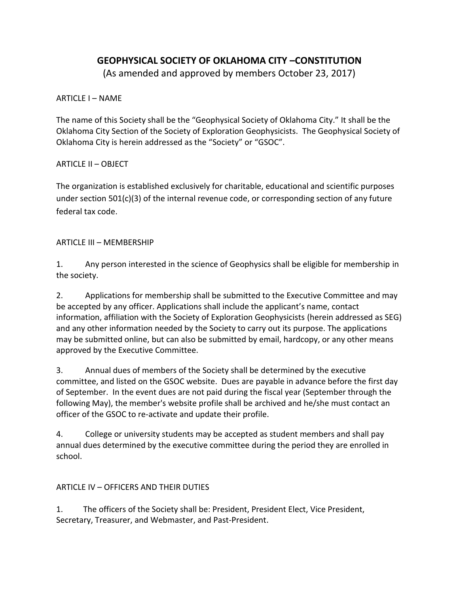# **GEOPHYSICAL SOCIETY OF OKLAHOMA CITY –CONSTITUTION**

(As amended and approved by members October 23, 2017)

ARTICLE I – NAME

The name of this Society shall be the "Geophysical Society of Oklahoma City." It shall be the Oklahoma City Section of the Society of Exploration Geophysicists. The Geophysical Society of Oklahoma City is herein addressed as the "Society" or "GSOC".

### ARTICLE II – OBJECT

The organization is established exclusively for charitable, educational and scientific purposes under section 501(c)(3) of the internal revenue code, or corresponding section of any future federal tax code.

### ARTICLE III – MEMBERSHIP

1. Any person interested in the science of Geophysics shall be eligible for membership in the society.

2. Applications for membership shall be submitted to the Executive Committee and may be accepted by any officer. Applications shall include the applicant's name, contact information, affiliation with the Society of Exploration Geophysicists (herein addressed as SEG) and any other information needed by the Society to carry out its purpose. The applications may be submitted online, but can also be submitted by email, hardcopy, or any other means approved by the Executive Committee.

3. Annual dues of members of the Society shall be determined by the executive committee, and listed on the GSOC website. Dues are payable in advance before the first day of September. In the event dues are not paid during the fiscal year (September through the following May), the member's website profile shall be archived and he/she must contact an officer of the GSOC to re-activate and update their profile.

4. College or university students may be accepted as student members and shall pay annual dues determined by the executive committee during the period they are enrolled in school.

## ARTICLE IV – OFFICERS AND THEIR DUTIES

1. The officers of the Society shall be: President, President Elect, Vice President, Secretary, Treasurer, and Webmaster, and Past-President.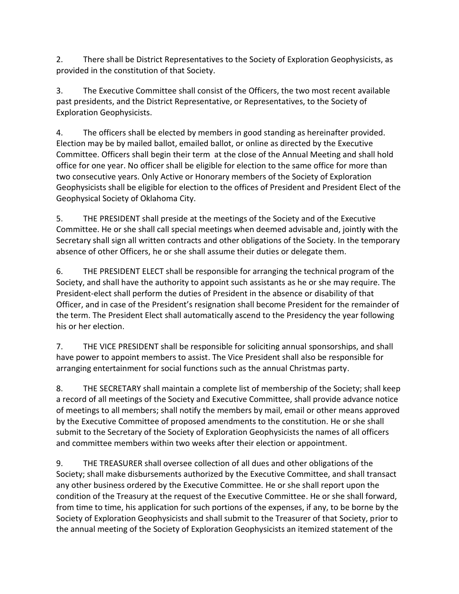2. There shall be District Representatives to the Society of Exploration Geophysicists, as provided in the constitution of that Society.

3. The Executive Committee shall consist of the Officers, the two most recent available past presidents, and the District Representative, or Representatives, to the Society of Exploration Geophysicists.

4. The officers shall be elected by members in good standing as hereinafter provided. Election may be by mailed ballot, emailed ballot, or online as directed by the Executive Committee. Officers shall begin their term at the close of the Annual Meeting and shall hold office for one year. No officer shall be eligible for election to the same office for more than two consecutive years. Only Active or Honorary members of the Society of Exploration Geophysicists shall be eligible for election to the offices of President and President Elect of the Geophysical Society of Oklahoma City.

5. THE PRESIDENT shall preside at the meetings of the Society and of the Executive Committee. He or she shall call special meetings when deemed advisable and, jointly with the Secretary shall sign all written contracts and other obligations of the Society. In the temporary absence of other Officers, he or she shall assume their duties or delegate them.

6. THE PRESIDENT ELECT shall be responsible for arranging the technical program of the Society, and shall have the authority to appoint such assistants as he or she may require. The President-elect shall perform the duties of President in the absence or disability of that Officer, and in case of the President's resignation shall become President for the remainder of the term. The President Elect shall automatically ascend to the Presidency the year following his or her election.

7. THE VICE PRESIDENT shall be responsible for soliciting annual sponsorships, and shall have power to appoint members to assist. The Vice President shall also be responsible for arranging entertainment for social functions such as the annual Christmas party.

8. THE SECRETARY shall maintain a complete list of membership of the Society; shall keep a record of all meetings of the Society and Executive Committee, shall provide advance notice of meetings to all members; shall notify the members by mail, email or other means approved by the Executive Committee of proposed amendments to the constitution. He or she shall submit to the Secretary of the Society of Exploration Geophysicists the names of all officers and committee members within two weeks after their election or appointment.

9. THE TREASURER shall oversee collection of all dues and other obligations of the Society; shall make disbursements authorized by the Executive Committee, and shall transact any other business ordered by the Executive Committee. He or she shall report upon the condition of the Treasury at the request of the Executive Committee. He or she shall forward, from time to time, his application for such portions of the expenses, if any, to be borne by the Society of Exploration Geophysicists and shall submit to the Treasurer of that Society, prior to the annual meeting of the Society of Exploration Geophysicists an itemized statement of the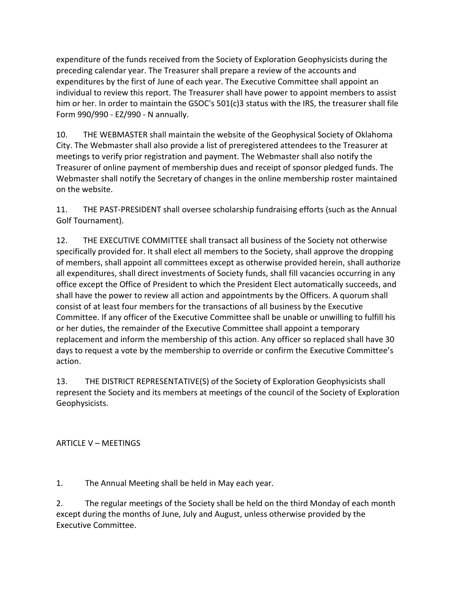expenditure of the funds received from the Society of Exploration Geophysicists during the preceding calendar year. The Treasurer shall prepare a review of the accounts and expenditures by the first of June of each year. The Executive Committee shall appoint an individual to review this report. The Treasurer shall have power to appoint members to assist him or her. In order to maintain the GSOC's 501(c)3 status with the IRS, the treasurer shall file Form 990/990 - EZ/990 - N annually.

10. THE WEBMASTER shall maintain the website of the Geophysical Society of Oklahoma City. The Webmaster shall also provide a list of preregistered attendees to the Treasurer at meetings to verify prior registration and payment. The Webmaster shall also notify the Treasurer of online payment of membership dues and receipt of sponsor pledged funds. The Webmaster shall notify the Secretary of changes in the online membership roster maintained on the website.

11. THE PAST-PRESIDENT shall oversee scholarship fundraising efforts (such as the Annual Golf Tournament).

12. THE EXECUTIVE COMMITTEE shall transact all business of the Society not otherwise specifically provided for. It shall elect all members to the Society, shall approve the dropping of members, shall appoint all committees except as otherwise provided herein, shall authorize all expenditures, shall direct investments of Society funds, shall fill vacancies occurring in any office except the Office of President to which the President Elect automatically succeeds, and shall have the power to review all action and appointments by the Officers. A quorum shall consist of at least four members for the transactions of all business by the Executive Committee. If any officer of the Executive Committee shall be unable or unwilling to fulfill his or her duties, the remainder of the Executive Committee shall appoint a temporary replacement and inform the membership of this action. Any officer so replaced shall have 30 days to request a vote by the membership to override or confirm the Executive Committee's action.

13. THE DISTRICT REPRESENTATIVE(S) of the Society of Exploration Geophysicists shall represent the Society and its members at meetings of the council of the Society of Exploration Geophysicists.

### ARTICLE V – MEETINGS

1. The Annual Meeting shall be held in May each year.

2. The regular meetings of the Society shall be held on the third Monday of each month except during the months of June, July and August, unless otherwise provided by the Executive Committee.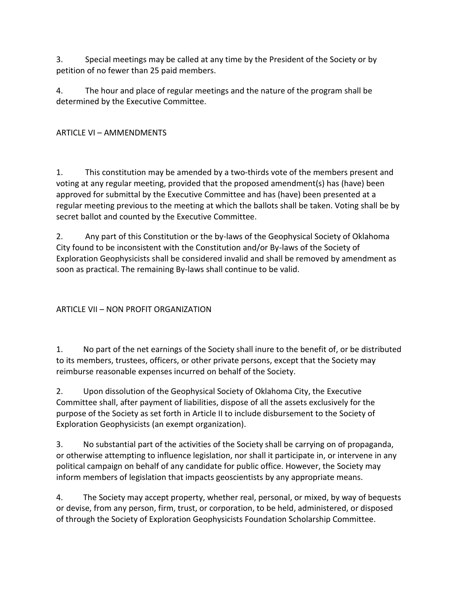3. Special meetings may be called at any time by the President of the Society or by petition of no fewer than 25 paid members.

4. The hour and place of regular meetings and the nature of the program shall be determined by the Executive Committee.

ARTICLE VI – AMMENDMENTS

1. This constitution may be amended by a two-thirds vote of the members present and voting at any regular meeting, provided that the proposed amendment(s) has (have) been approved for submittal by the Executive Committee and has (have) been presented at a regular meeting previous to the meeting at which the ballots shall be taken. Voting shall be by secret ballot and counted by the Executive Committee.

2. Any part of this Constitution or the by-laws of the Geophysical Society of Oklahoma City found to be inconsistent with the Constitution and/or By-laws of the Society of Exploration Geophysicists shall be considered invalid and shall be removed by amendment as soon as practical. The remaining By-laws shall continue to be valid.

## ARTICLE VII – NON PROFIT ORGANIZATION

1. No part of the net earnings of the Society shall inure to the benefit of, or be distributed to its members, trustees, officers, or other private persons, except that the Society may reimburse reasonable expenses incurred on behalf of the Society.

2. Upon dissolution of the Geophysical Society of Oklahoma City, the Executive Committee shall, after payment of liabilities, dispose of all the assets exclusively for the purpose of the Society as set forth in Article II to include disbursement to the Society of Exploration Geophysicists (an exempt organization).

3. No substantial part of the activities of the Society shall be carrying on of propaganda, or otherwise attempting to influence legislation, nor shall it participate in, or intervene in any political campaign on behalf of any candidate for public office. However, the Society may inform members of legislation that impacts geoscientists by any appropriate means.

4. The Society may accept property, whether real, personal, or mixed, by way of bequests or devise, from any person, firm, trust, or corporation, to be held, administered, or disposed of through the Society of Exploration Geophysicists Foundation Scholarship Committee.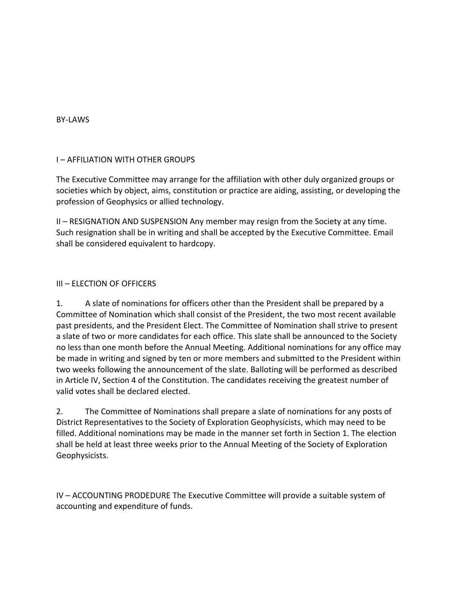#### BY-LAWS

#### I – AFFILIATION WITH OTHER GROUPS

The Executive Committee may arrange for the affiliation with other duly organized groups or societies which by object, aims, constitution or practice are aiding, assisting, or developing the profession of Geophysics or allied technology.

II – RESIGNATION AND SUSPENSION Any member may resign from the Society at any time. Such resignation shall be in writing and shall be accepted by the Executive Committee. Email shall be considered equivalent to hardcopy.

#### III – ELECTION OF OFFICERS

1. A slate of nominations for officers other than the President shall be prepared by a Committee of Nomination which shall consist of the President, the two most recent available past presidents, and the President Elect. The Committee of Nomination shall strive to present a slate of two or more candidates for each office. This slate shall be announced to the Society no less than one month before the Annual Meeting. Additional nominations for any office may be made in writing and signed by ten or more members and submitted to the President within two weeks following the announcement of the slate. Balloting will be performed as described in Article IV, Section 4 of the Constitution. The candidates receiving the greatest number of valid votes shall be declared elected.

2. The Committee of Nominations shall prepare a slate of nominations for any posts of District Representatives to the Society of Exploration Geophysicists, which may need to be filled. Additional nominations may be made in the manner set forth in Section 1. The election shall be held at least three weeks prior to the Annual Meeting of the Society of Exploration Geophysicists.

IV – ACCOUNTING PRODEDURE The Executive Committee will provide a suitable system of accounting and expenditure of funds.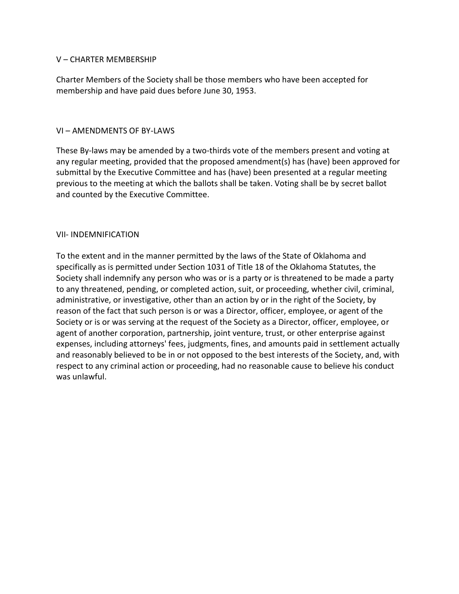#### V – CHARTER MEMBERSHIP

Charter Members of the Society shall be those members who have been accepted for membership and have paid dues before June 30, 1953.

#### VI – AMENDMENTS OF BY-LAWS

These By-laws may be amended by a two-thirds vote of the members present and voting at any regular meeting, provided that the proposed amendment(s) has (have) been approved for submittal by the Executive Committee and has (have) been presented at a regular meeting previous to the meeting at which the ballots shall be taken. Voting shall be by secret ballot and counted by the Executive Committee.

#### VII- INDEMNIFICATION

To the extent and in the manner permitted by the laws of the State of Oklahoma and specifically as is permitted under Section 1031 of Title 18 of the Oklahoma Statutes, the Society shall indemnify any person who was or is a party or is threatened to be made a party to any threatened, pending, or completed action, suit, or proceeding, whether civil, criminal, administrative, or investigative, other than an action by or in the right of the Society, by reason of the fact that such person is or was a Director, officer, employee, or agent of the Society or is or was serving at the request of the Society as a Director, officer, employee, or agent of another corporation, partnership, joint venture, trust, or other enterprise against expenses, including attorneys' fees, judgments, fines, and amounts paid in settlement actually and reasonably believed to be in or not opposed to the best interests of the Society, and, with respect to any criminal action or proceeding, had no reasonable cause to believe his conduct was unlawful.